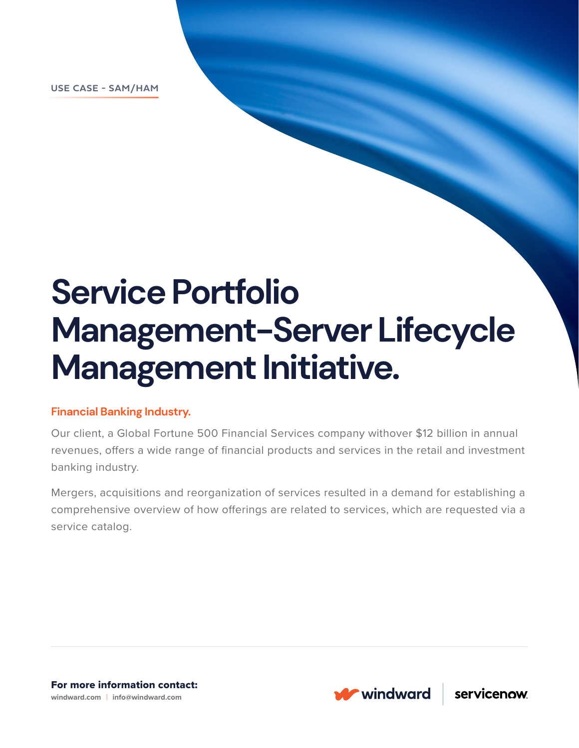**USE CASE - SAM/HAM**

# **Service Portfolio Management-Server Lifecycle Management Initiative.**

### **Financial Banking Industry.**

Our client, a Global Fortune 500 Financial Services company withover \$12 billion in annual revenues, offers a wide range of financial products and services in the retail and investment banking industry.

Mergers, acquisitions and reorganization of services resulted in a demand for establishing a comprehensive overview of how offerings are related to services, which are requested via a service catalog.